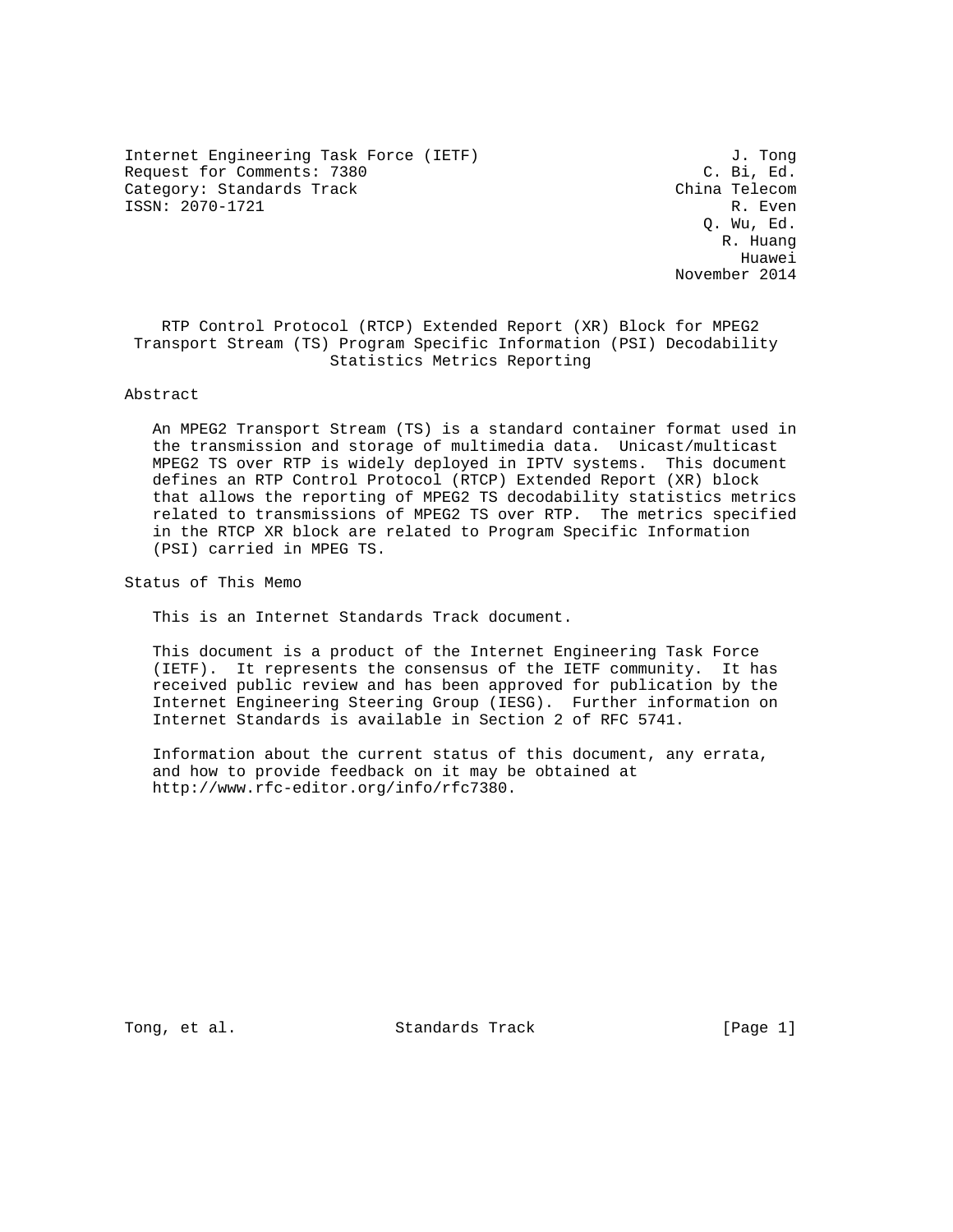Internet Engineering Task Force (IETF)  $J.$  Tong<br>Request for Comments: 7380  $C.$  Bi, Ed. Request for Comments: 7380 C. Bi, Ed. (C. Bi, Ed. (C. Bi, Ed. )<br>Category: Standards Track (China Telecom Category: Standards Track ISSN: 2070-1721 R. Even

 Q. Wu, Ed. R. Huang Huawei November 2014

 RTP Control Protocol (RTCP) Extended Report (XR) Block for MPEG2 Transport Stream (TS) Program Specific Information (PSI) Decodability Statistics Metrics Reporting

## Abstract

 An MPEG2 Transport Stream (TS) is a standard container format used in the transmission and storage of multimedia data. Unicast/multicast MPEG2 TS over RTP is widely deployed in IPTV systems. This document defines an RTP Control Protocol (RTCP) Extended Report (XR) block that allows the reporting of MPEG2 TS decodability statistics metrics related to transmissions of MPEG2 TS over RTP. The metrics specified in the RTCP XR block are related to Program Specific Information (PSI) carried in MPEG TS.

Status of This Memo

This is an Internet Standards Track document.

 This document is a product of the Internet Engineering Task Force (IETF). It represents the consensus of the IETF community. It has received public review and has been approved for publication by the Internet Engineering Steering Group (IESG). Further information on Internet Standards is available in Section 2 of RFC 5741.

 Information about the current status of this document, any errata, and how to provide feedback on it may be obtained at http://www.rfc-editor.org/info/rfc7380.

Tong, et al. Standards Track [Page 1]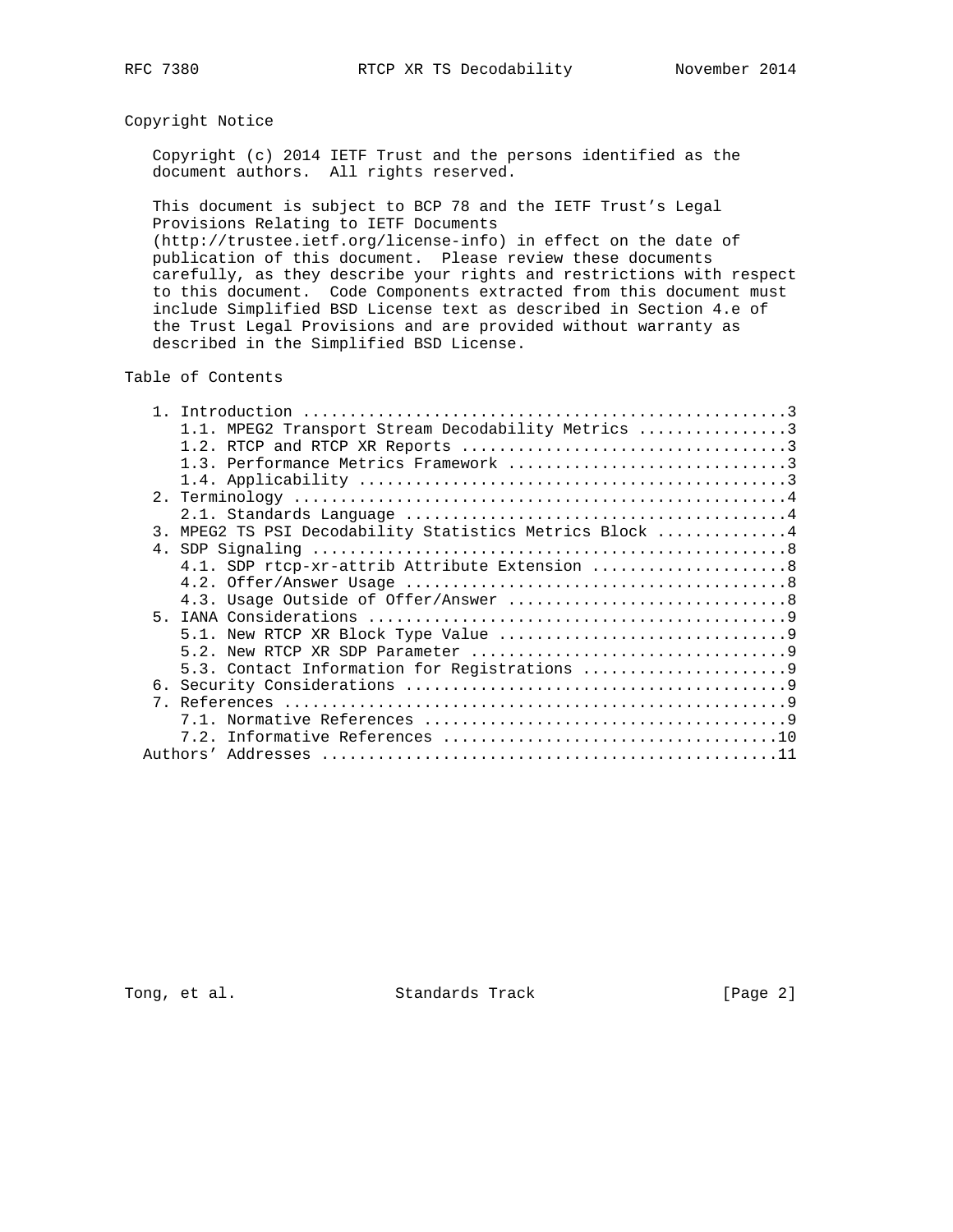## Copyright Notice

 Copyright (c) 2014 IETF Trust and the persons identified as the document authors. All rights reserved.

 This document is subject to BCP 78 and the IETF Trust's Legal Provisions Relating to IETF Documents (http://trustee.ietf.org/license-info) in effect on the date of

 publication of this document. Please review these documents carefully, as they describe your rights and restrictions with respect to this document. Code Components extracted from this document must include Simplified BSD License text as described in Section 4.e of the Trust Legal Provisions and are provided without warranty as described in the Simplified BSD License.

Table of Contents

| 1.1. MPEG2 Transport Stream Decodability Metrics 3      |
|---------------------------------------------------------|
|                                                         |
| 1.3. Performance Metrics Framework 3                    |
|                                                         |
|                                                         |
|                                                         |
| 3. MPEG2 TS PSI Decodability Statistics Metrics Block 4 |
|                                                         |
| 4.1. SDP rtcp-xr-attrib Attribute Extension  8          |
|                                                         |
|                                                         |
|                                                         |
|                                                         |
|                                                         |
|                                                         |
|                                                         |
|                                                         |
|                                                         |
|                                                         |
|                                                         |

Tong, et al. Standards Track [Page 2]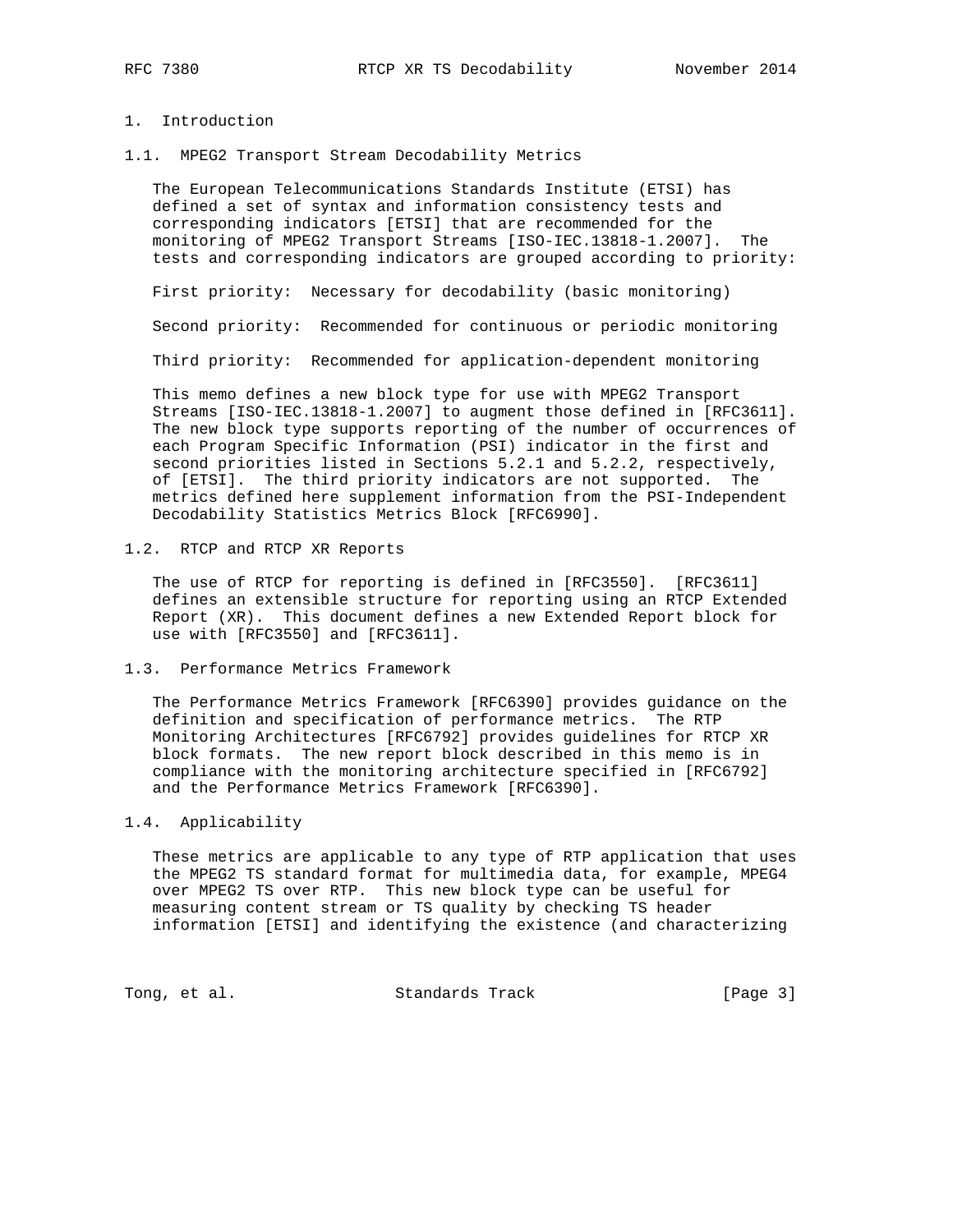## 1. Introduction

1.1. MPEG2 Transport Stream Decodability Metrics

 The European Telecommunications Standards Institute (ETSI) has defined a set of syntax and information consistency tests and corresponding indicators [ETSI] that are recommended for the monitoring of MPEG2 Transport Streams [ISO-IEC.13818-1.2007]. The tests and corresponding indicators are grouped according to priority:

First priority: Necessary for decodability (basic monitoring)

Second priority: Recommended for continuous or periodic monitoring

Third priority: Recommended for application-dependent monitoring

 This memo defines a new block type for use with MPEG2 Transport Streams [ISO-IEC.13818-1.2007] to augment those defined in [RFC3611]. The new block type supports reporting of the number of occurrences of each Program Specific Information (PSI) indicator in the first and second priorities listed in Sections 5.2.1 and 5.2.2, respectively, of [ETSI]. The third priority indicators are not supported. The metrics defined here supplement information from the PSI-Independent Decodability Statistics Metrics Block [RFC6990].

1.2. RTCP and RTCP XR Reports

 The use of RTCP for reporting is defined in [RFC3550]. [RFC3611] defines an extensible structure for reporting using an RTCP Extended Report (XR). This document defines a new Extended Report block for use with [RFC3550] and [RFC3611].

1.3. Performance Metrics Framework

 The Performance Metrics Framework [RFC6390] provides guidance on the definition and specification of performance metrics. The RTP Monitoring Architectures [RFC6792] provides guidelines for RTCP XR block formats. The new report block described in this memo is in compliance with the monitoring architecture specified in [RFC6792] and the Performance Metrics Framework [RFC6390].

## 1.4. Applicability

 These metrics are applicable to any type of RTP application that uses the MPEG2 TS standard format for multimedia data, for example, MPEG4 over MPEG2 TS over RTP. This new block type can be useful for measuring content stream or TS quality by checking TS header information [ETSI] and identifying the existence (and characterizing

Tong, et al. Standards Track [Page 3]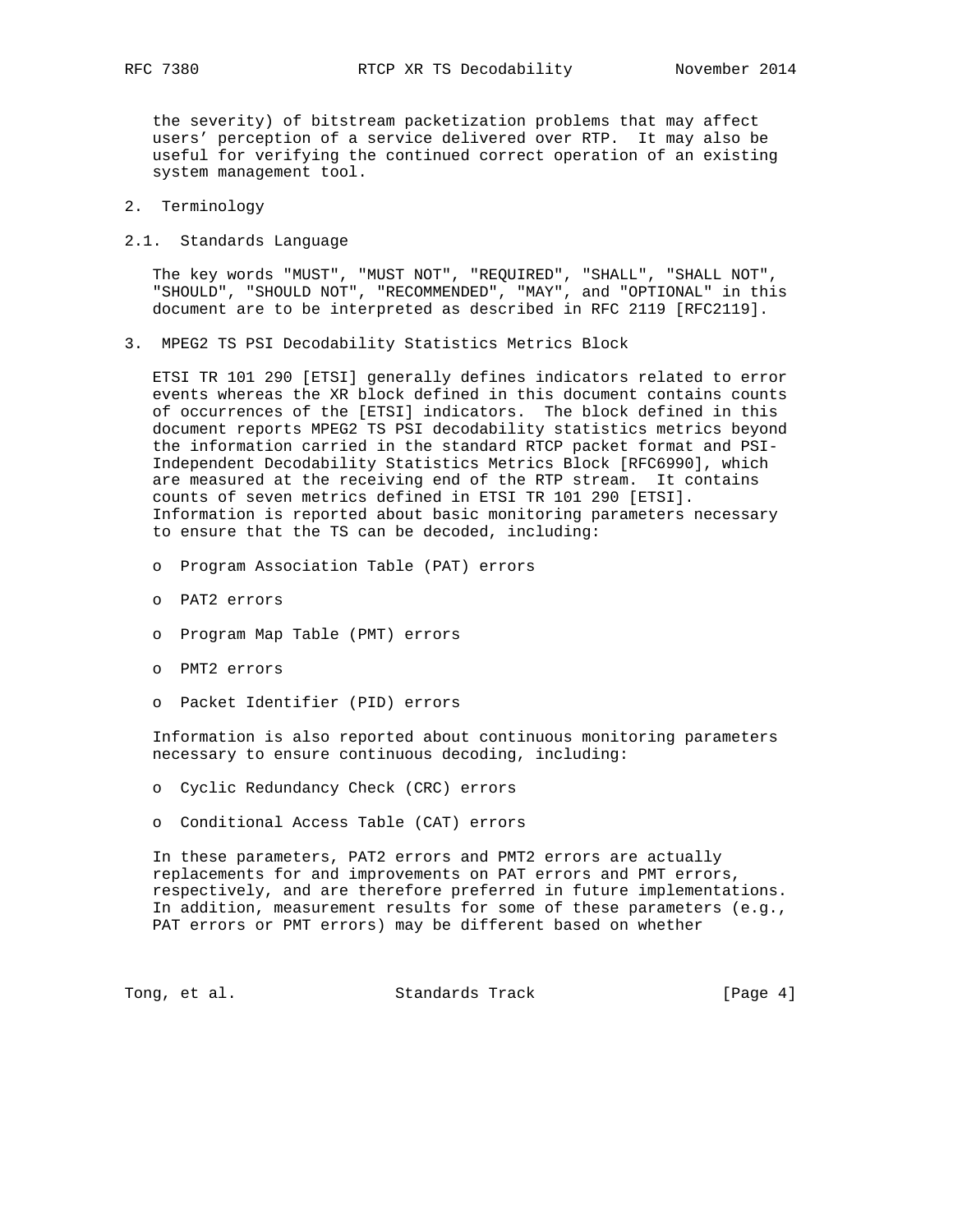the severity) of bitstream packetization problems that may affect users' perception of a service delivered over RTP. It may also be useful for verifying the continued correct operation of an existing system management tool.

- 2. Terminology
- 2.1. Standards Language

 The key words "MUST", "MUST NOT", "REQUIRED", "SHALL", "SHALL NOT", "SHOULD", "SHOULD NOT", "RECOMMENDED", "MAY", and "OPTIONAL" in this document are to be interpreted as described in RFC 2119 [RFC2119].

3. MPEG2 TS PSI Decodability Statistics Metrics Block

 ETSI TR 101 290 [ETSI] generally defines indicators related to error events whereas the XR block defined in this document contains counts of occurrences of the [ETSI] indicators. The block defined in this document reports MPEG2 TS PSI decodability statistics metrics beyond the information carried in the standard RTCP packet format and PSI- Independent Decodability Statistics Metrics Block [RFC6990], which are measured at the receiving end of the RTP stream. It contains counts of seven metrics defined in ETSI TR 101 290 [ETSI]. Information is reported about basic monitoring parameters necessary to ensure that the TS can be decoded, including:

- o Program Association Table (PAT) errors
- o PAT2 errors
- o Program Map Table (PMT) errors
- o PMT2 errors
- o Packet Identifier (PID) errors

 Information is also reported about continuous monitoring parameters necessary to ensure continuous decoding, including:

- o Cyclic Redundancy Check (CRC) errors
- o Conditional Access Table (CAT) errors

 In these parameters, PAT2 errors and PMT2 errors are actually replacements for and improvements on PAT errors and PMT errors, respectively, and are therefore preferred in future implementations. In addition, measurement results for some of these parameters (e.g., PAT errors or PMT errors) may be different based on whether

Tong, et al. Standards Track [Page 4]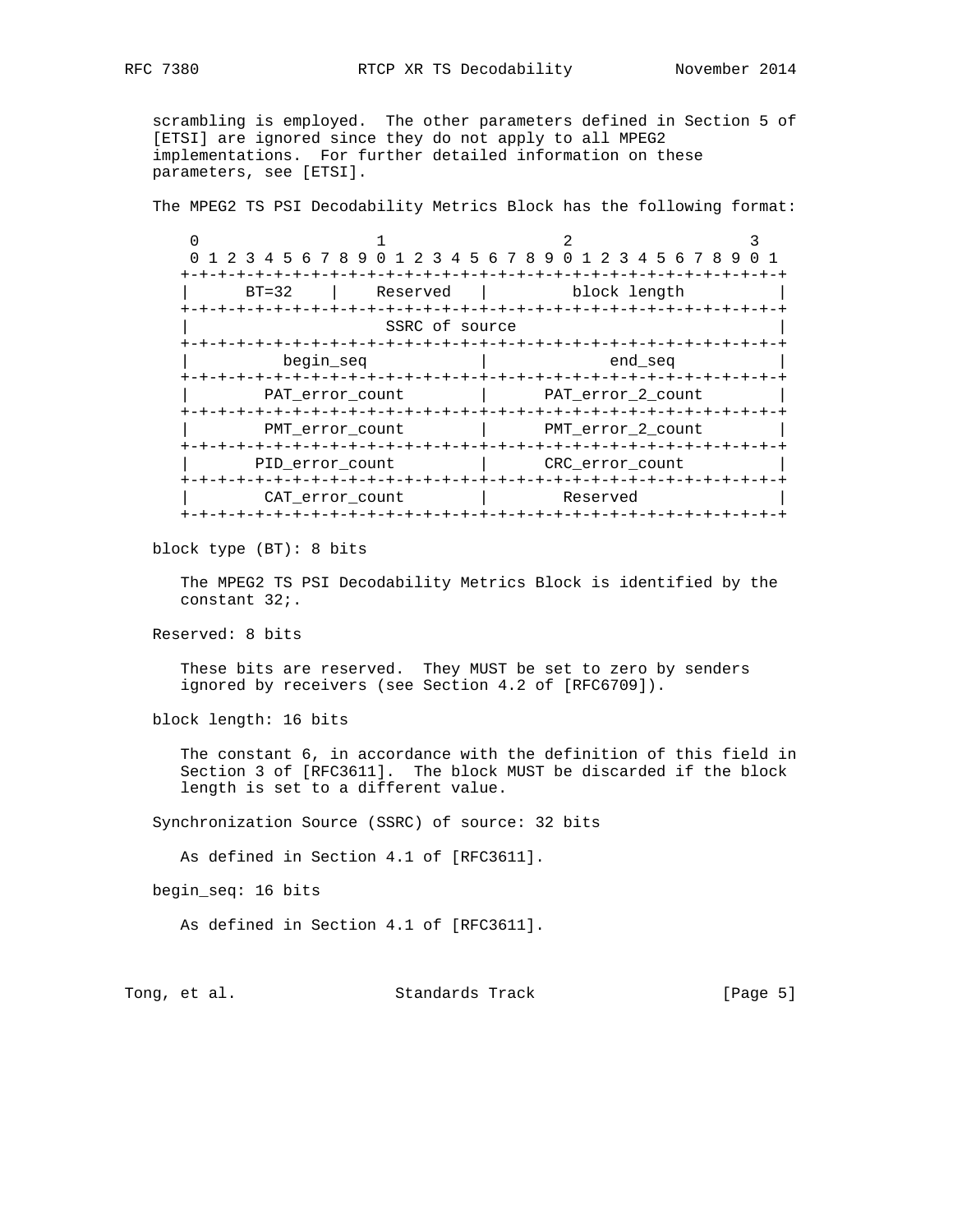scrambling is employed. The other parameters defined in Section 5 of [ETSI] are ignored since they do not apply to all MPEG2 implementations. For further detailed information on these parameters, see [ETSI].

The MPEG2 TS PSI Decodability Metrics Block has the following format:

 $0$  1 2 3 0 1 2 3 4 5 6 7 8 9 0 1 2 3 4 5 6 7 8 9 0 1 2 3 4 5 6 7 8 9 0 1 +-+-+-+-+-+-+-+-+-+-+-+-+-+-+-+-+-+-+-+-+-+-+-+-+-+-+-+-+-+-+-+-+ BT=32 | Reserved | block length +-+-+-+-+-+-+-+-+-+-+-+-+-+-+-+-+-+-+-+-+-+-+-+-+-+-+-+-+-+-+-+-+ SSRC of source +-+-+-+-+-+-+-+-+-+-+-+-+-+-+-+-+-+-+-+-+-+-+-+-+-+-+-+-+-+-+-+-+  $begin$  begin\_seq  $|$  end\_seq +-+-+-+-+-+-+-+-+-+-+-+-+-+-+-+-+-+-+-+-+-+-+-+-+-+-+-+-+-+-+-+-+ PAT\_error\_count | PAT\_error\_2\_count +-+-+-+-+-+-+-+-+-+-+-+-+-+-+-+-+-+-+-+-+-+-+-+-+-+-+-+-+-+-+-+-+ PMT\_error\_count | PMT\_error\_2\_count +-+-+-+-+-+-+-+-+-+-+-+-+-+-+-+-+-+-+-+-+-+-+-+-+-+-+-+-+-+-+-+-+ PID\_error\_count  $|$  CRC\_error\_count +-+-+-+-+-+-+-+-+-+-+-+-+-+-+-+-+-+-+-+-+-+-+-+-+-+-+-+-+-+-+-+-+ | CAT\_error\_count | Reserved | +-+-+-+-+-+-+-+-+-+-+-+-+-+-+-+-+-+-+-+-+-+-+-+-+-+-+-+-+-+-+-+-+

block type (BT): 8 bits

 The MPEG2 TS PSI Decodability Metrics Block is identified by the constant 32;.

Reserved: 8 bits

 These bits are reserved. They MUST be set to zero by senders ignored by receivers (see Section 4.2 of [RFC6709]).

block length: 16 bits

 The constant 6, in accordance with the definition of this field in Section 3 of [RFC3611]. The block MUST be discarded if the block length is set to a different value.

Synchronization Source (SSRC) of source: 32 bits

As defined in Section 4.1 of [RFC3611].

begin\_seq: 16 bits

As defined in Section 4.1 of [RFC3611].

Tong, et al. Standards Track [Page 5]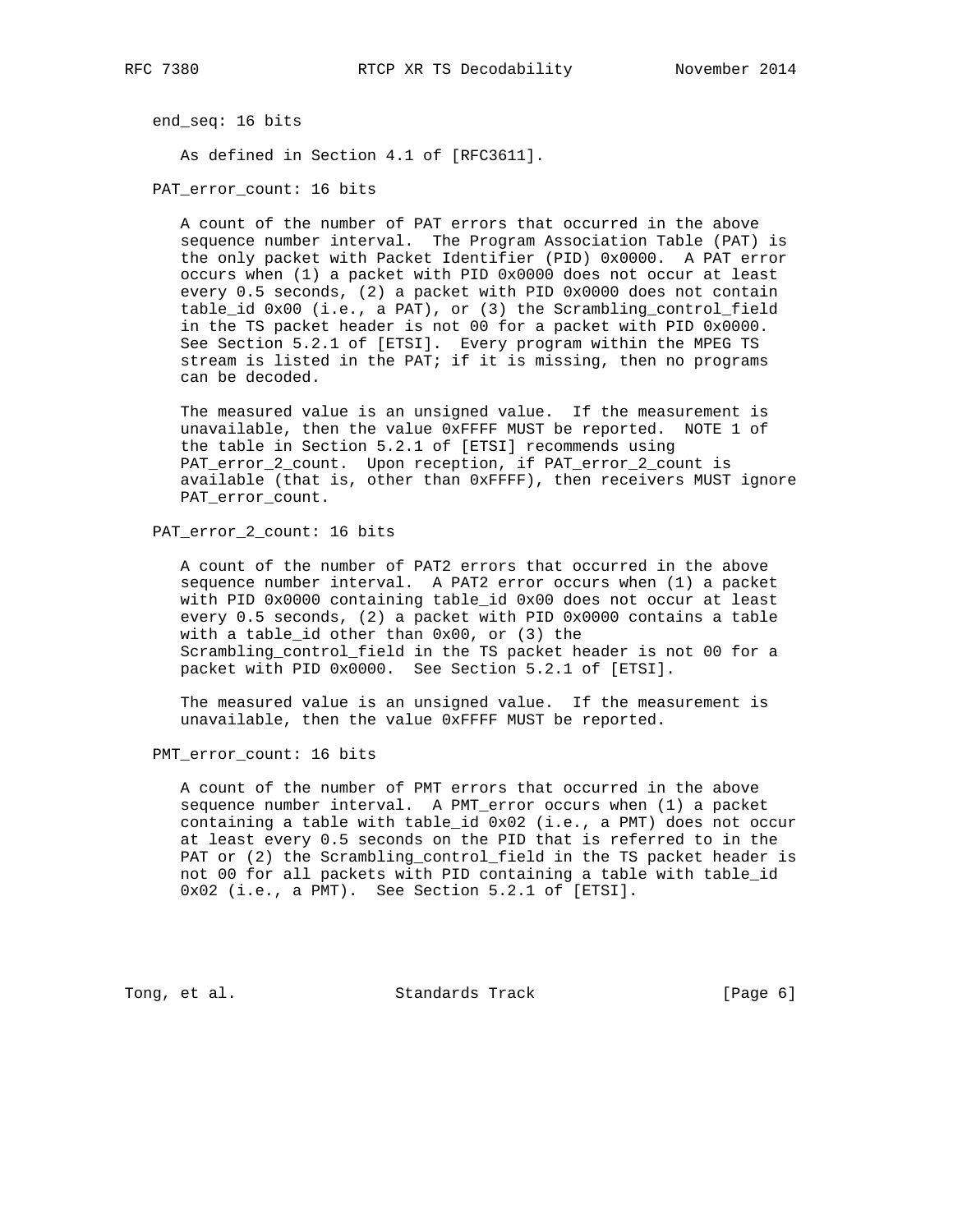end\_seq: 16 bits

As defined in Section 4.1 of [RFC3611].

PAT\_error\_count: 16 bits

 A count of the number of PAT errors that occurred in the above sequence number interval. The Program Association Table (PAT) is the only packet with Packet Identifier (PID) 0x0000. A PAT error occurs when (1) a packet with PID 0x0000 does not occur at least every 0.5 seconds, (2) a packet with PID 0x0000 does not contain table\_id 0x00 (i.e., a PAT), or (3) the Scrambling\_control\_field in the TS packet header is not 00 for a packet with PID 0x0000. See Section 5.2.1 of [ETSI]. Every program within the MPEG TS stream is listed in the PAT; if it is missing, then no programs can be decoded.

 The measured value is an unsigned value. If the measurement is unavailable, then the value 0xFFFF MUST be reported. NOTE 1 of the table in Section 5.2.1 of [ETSI] recommends using PAT\_error\_2\_count. Upon reception, if PAT\_error\_2\_count is available (that is, other than 0xFFFF), then receivers MUST ignore PAT\_error\_count.

PAT\_error\_2\_count: 16 bits

 A count of the number of PAT2 errors that occurred in the above sequence number interval. A PAT2 error occurs when (1) a packet with PID 0x0000 containing table\_id 0x00 does not occur at least every 0.5 seconds, (2) a packet with PID 0x0000 contains a table with a table\_id other than 0x00, or (3) the Scrambling\_control\_field in the TS packet header is not 00 for a packet with PID 0x0000. See Section 5.2.1 of [ETSI].

 The measured value is an unsigned value. If the measurement is unavailable, then the value 0xFFFF MUST be reported.

PMT\_error\_count: 16 bits

 A count of the number of PMT errors that occurred in the above sequence number interval. A PMT\_error occurs when (1) a packet containing a table with table\_id 0x02 (i.e., a PMT) does not occur at least every 0.5 seconds on the PID that is referred to in the PAT or (2) the Scrambling\_control\_field in the TS packet header is not 00 for all packets with PID containing a table with table\_id 0x02 (i.e., a PMT). See Section 5.2.1 of [ETSI].

Tong, et al. Standards Track [Page 6]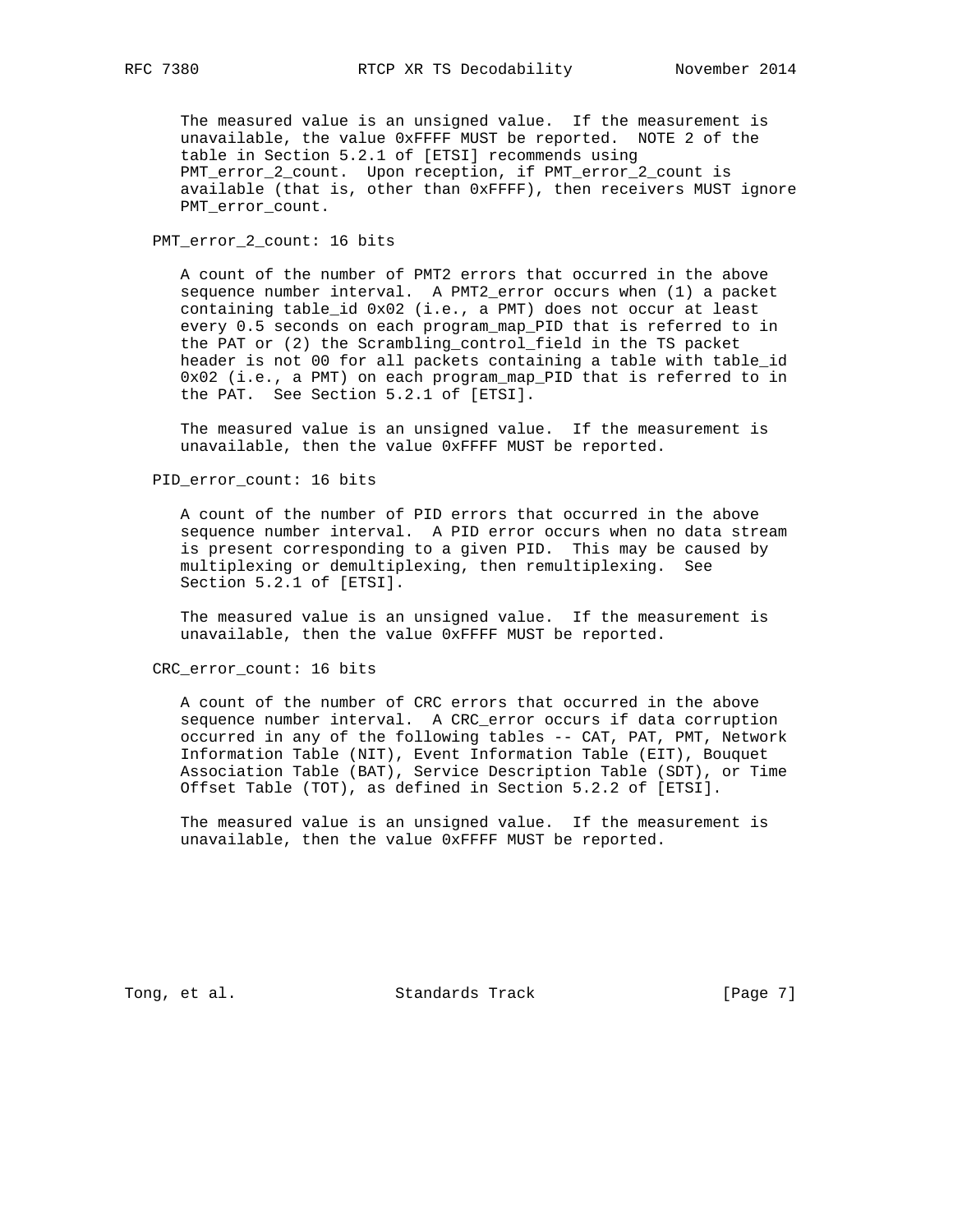The measured value is an unsigned value. If the measurement is unavailable, the value 0xFFFF MUST be reported. NOTE 2 of the table in Section 5.2.1 of [ETSI] recommends using PMT\_error\_2\_count. Upon reception, if PMT\_error\_2\_count is available (that is, other than 0xFFFF), then receivers MUST ignore PMT\_error\_count.

PMT\_error\_2\_count: 16 bits

 A count of the number of PMT2 errors that occurred in the above sequence number interval. A PMT2\_error occurs when (1) a packet containing table\_id 0x02 (i.e., a PMT) does not occur at least every 0.5 seconds on each program\_map\_PID that is referred to in the PAT or (2) the Scrambling\_control\_field in the TS packet header is not 00 for all packets containing a table with table\_id 0x02 (i.e., a PMT) on each program\_map\_PID that is referred to in the PAT. See Section 5.2.1 of [ETSI].

 The measured value is an unsigned value. If the measurement is unavailable, then the value 0xFFFF MUST be reported.

PID\_error\_count: 16 bits

 A count of the number of PID errors that occurred in the above sequence number interval. A PID error occurs when no data stream is present corresponding to a given PID. This may be caused by multiplexing or demultiplexing, then remultiplexing. See Section 5.2.1 of [ETSI].

 The measured value is an unsigned value. If the measurement is unavailable, then the value 0xFFFF MUST be reported.

CRC\_error\_count: 16 bits

 A count of the number of CRC errors that occurred in the above sequence number interval. A CRC\_error occurs if data corruption occurred in any of the following tables -- CAT, PAT, PMT, Network Information Table (NIT), Event Information Table (EIT), Bouquet Association Table (BAT), Service Description Table (SDT), or Time Offset Table (TOT), as defined in Section 5.2.2 of [ETSI].

 The measured value is an unsigned value. If the measurement is unavailable, then the value 0xFFFF MUST be reported.

Tong, et al. Standards Track [Page 7]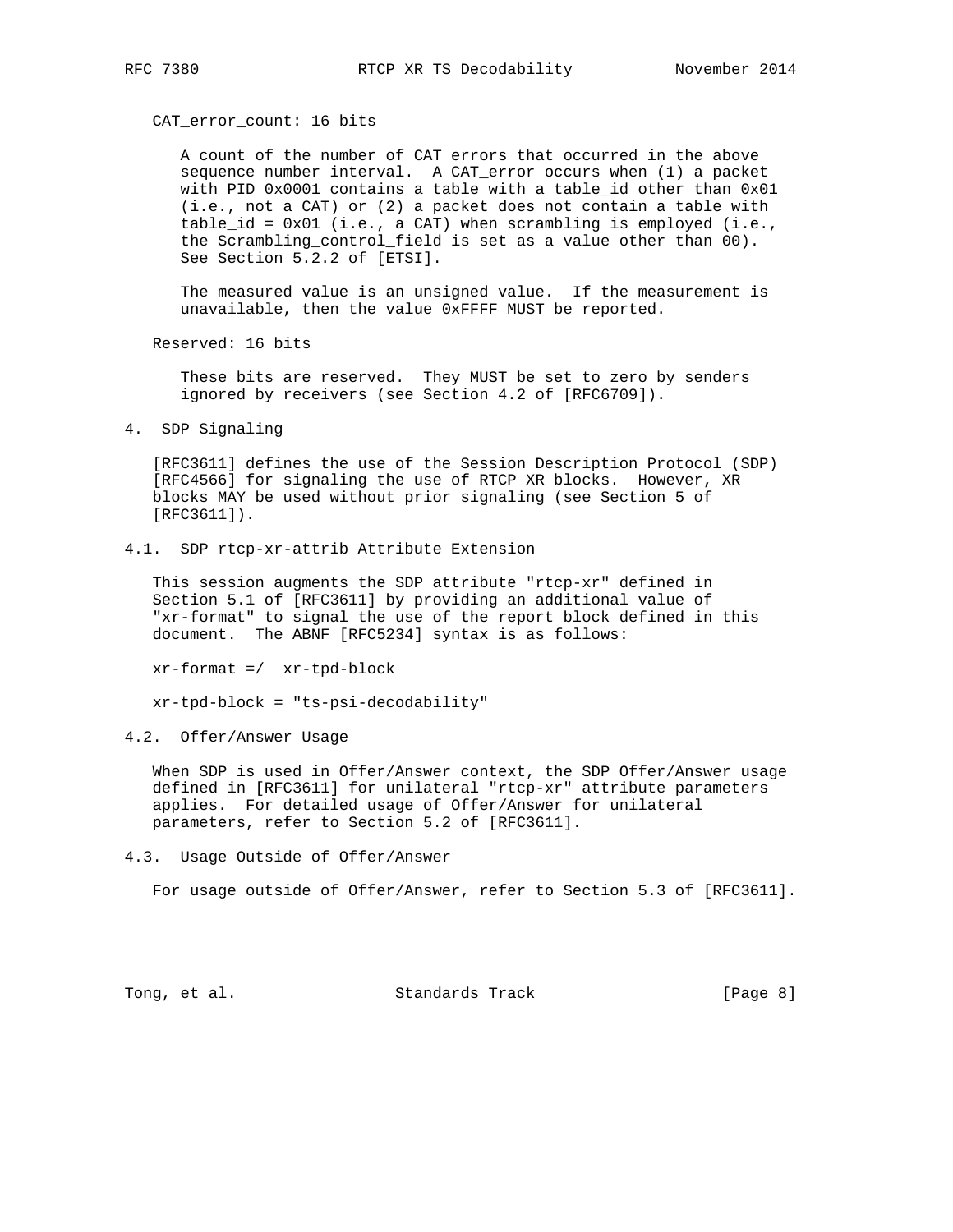CAT\_error\_count: 16 bits

 A count of the number of CAT errors that occurred in the above sequence number interval. A CAT\_error occurs when (1) a packet with PID 0x0001 contains a table with a table\_id other than 0x01 (i.e., not a CAT) or (2) a packet does not contain a table with table\_id = 0x01 (i.e., a CAT) when scrambling is employed (i.e., the Scrambling\_control\_field is set as a value other than 00). See Section 5.2.2 of [ETSI].

 The measured value is an unsigned value. If the measurement is unavailable, then the value 0xFFFF MUST be reported.

Reserved: 16 bits

 These bits are reserved. They MUST be set to zero by senders ignored by receivers (see Section 4.2 of [RFC6709]).

4. SDP Signaling

 [RFC3611] defines the use of the Session Description Protocol (SDP) [RFC4566] for signaling the use of RTCP XR blocks. However, XR blocks MAY be used without prior signaling (see Section 5 of [RFC3611]).

4.1. SDP rtcp-xr-attrib Attribute Extension

 This session augments the SDP attribute "rtcp-xr" defined in Section 5.1 of [RFC3611] by providing an additional value of "xr-format" to signal the use of the report block defined in this document. The ABNF [RFC5234] syntax is as follows:

xr-format =/ xr-tpd-block

xr-tpd-block = "ts-psi-decodability"

4.2. Offer/Answer Usage

 When SDP is used in Offer/Answer context, the SDP Offer/Answer usage defined in [RFC3611] for unilateral "rtcp-xr" attribute parameters applies. For detailed usage of Offer/Answer for unilateral parameters, refer to Section 5.2 of [RFC3611].

4.3. Usage Outside of Offer/Answer

For usage outside of Offer/Answer, refer to Section 5.3 of [RFC3611].

Tong, et al. Standards Track [Page 8]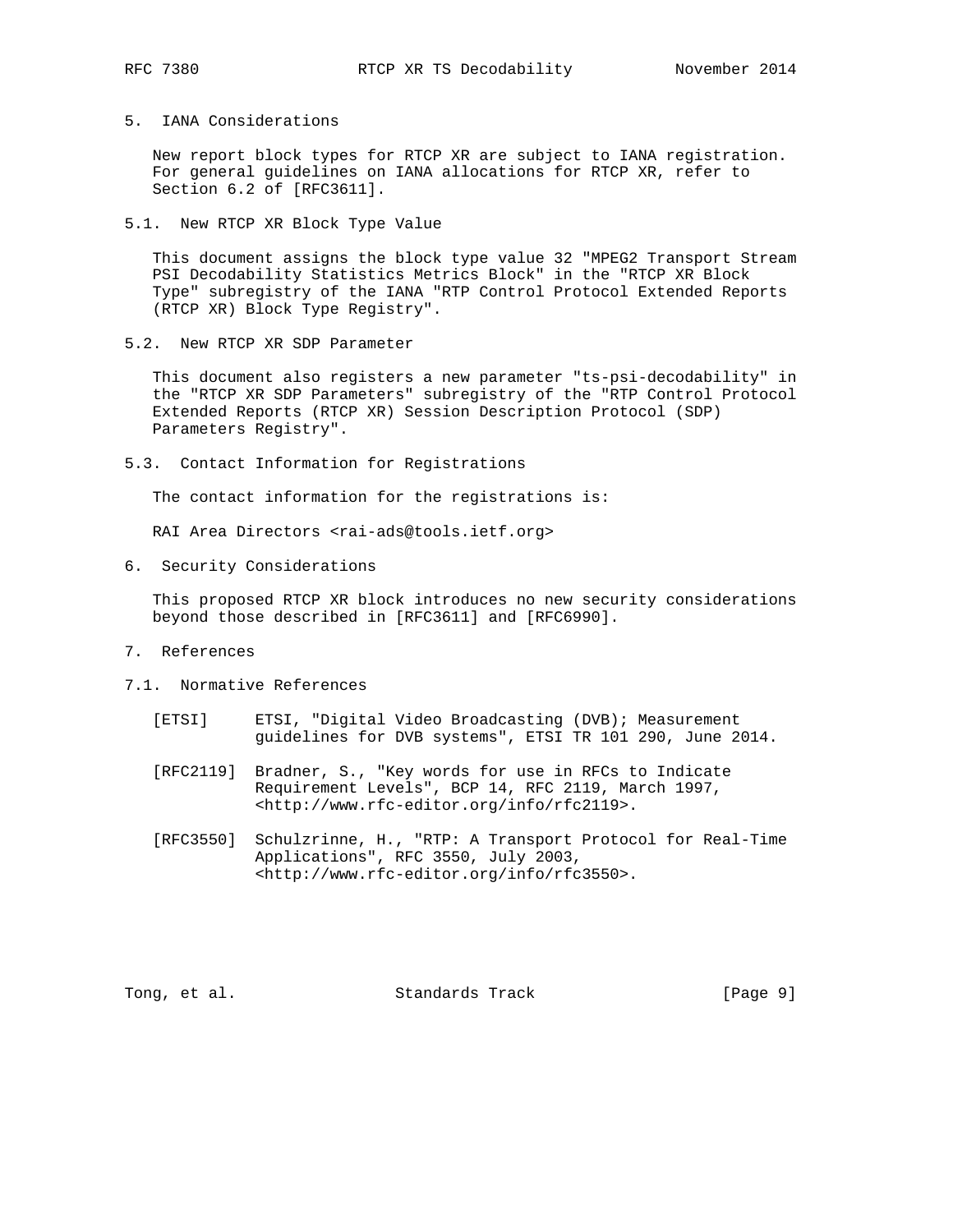5. IANA Considerations

 New report block types for RTCP XR are subject to IANA registration. For general guidelines on IANA allocations for RTCP XR, refer to Section 6.2 of [RFC3611].

5.1. New RTCP XR Block Type Value

 This document assigns the block type value 32 "MPEG2 Transport Stream PSI Decodability Statistics Metrics Block" in the "RTCP XR Block Type" subregistry of the IANA "RTP Control Protocol Extended Reports (RTCP XR) Block Type Registry".

5.2. New RTCP XR SDP Parameter

 This document also registers a new parameter "ts-psi-decodability" in the "RTCP XR SDP Parameters" subregistry of the "RTP Control Protocol Extended Reports (RTCP XR) Session Description Protocol (SDP) Parameters Registry".

5.3. Contact Information for Registrations

The contact information for the registrations is:

RAI Area Directors <rai-ads@tools.ietf.org>

6. Security Considerations

 This proposed RTCP XR block introduces no new security considerations beyond those described in [RFC3611] and [RFC6990].

- 7. References
- 7.1. Normative References
	- [ETSI] ETSI, "Digital Video Broadcasting (DVB); Measurement guidelines for DVB systems", ETSI TR 101 290, June 2014.
	- [RFC2119] Bradner, S., "Key words for use in RFCs to Indicate Requirement Levels", BCP 14, RFC 2119, March 1997, <http://www.rfc-editor.org/info/rfc2119>.
	- [RFC3550] Schulzrinne, H., "RTP: A Transport Protocol for Real-Time Applications", RFC 3550, July 2003, <http://www.rfc-editor.org/info/rfc3550>.

Tong, et al. Standards Track [Page 9]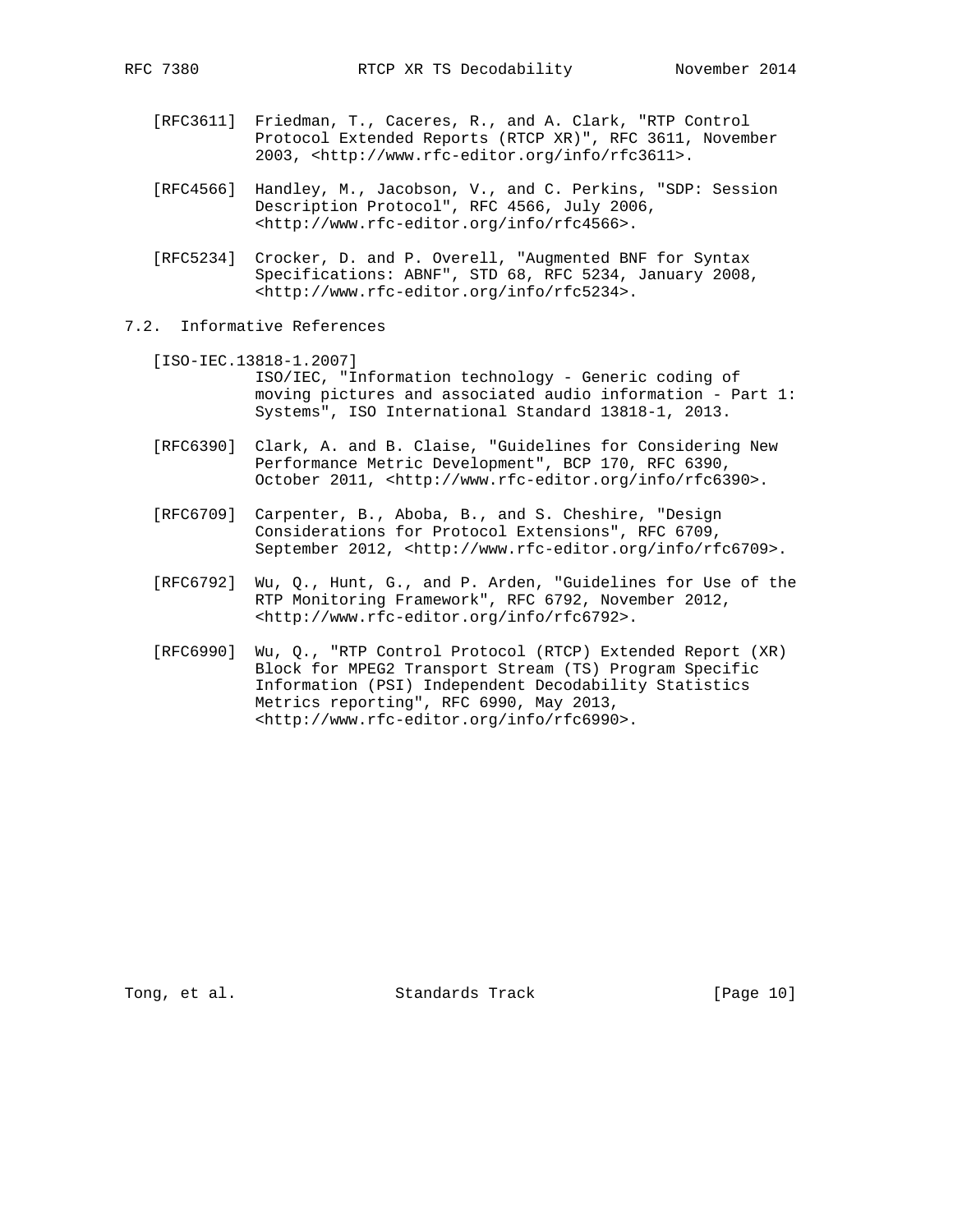- [RFC3611] Friedman, T., Caceres, R., and A. Clark, "RTP Control Protocol Extended Reports (RTCP XR)", RFC 3611, November 2003, <http://www.rfc-editor.org/info/rfc3611>.
- [RFC4566] Handley, M., Jacobson, V., and C. Perkins, "SDP: Session Description Protocol", RFC 4566, July 2006, <http://www.rfc-editor.org/info/rfc4566>.
- [RFC5234] Crocker, D. and P. Overell, "Augmented BNF for Syntax Specifications: ABNF", STD 68, RFC 5234, January 2008, <http://www.rfc-editor.org/info/rfc5234>.
- 7.2. Informative References
	- [ISO-IEC.13818-1.2007] ISO/IEC, "Information technology - Generic coding of moving pictures and associated audio information - Part 1: Systems", ISO International Standard 13818-1, 2013.
	- [RFC6390] Clark, A. and B. Claise, "Guidelines for Considering New Performance Metric Development", BCP 170, RFC 6390, October 2011, <http://www.rfc-editor.org/info/rfc6390>.
	- [RFC6709] Carpenter, B., Aboba, B., and S. Cheshire, "Design Considerations for Protocol Extensions", RFC 6709, September 2012, <http://www.rfc-editor.org/info/rfc6709>.
	- [RFC6792] Wu, Q., Hunt, G., and P. Arden, "Guidelines for Use of the RTP Monitoring Framework", RFC 6792, November 2012, <http://www.rfc-editor.org/info/rfc6792>.
	- [RFC6990] Wu, Q., "RTP Control Protocol (RTCP) Extended Report (XR) Block for MPEG2 Transport Stream (TS) Program Specific Information (PSI) Independent Decodability Statistics Metrics reporting", RFC 6990, May 2013, <http://www.rfc-editor.org/info/rfc6990>.

Tong, et al. Standards Track [Page 10]